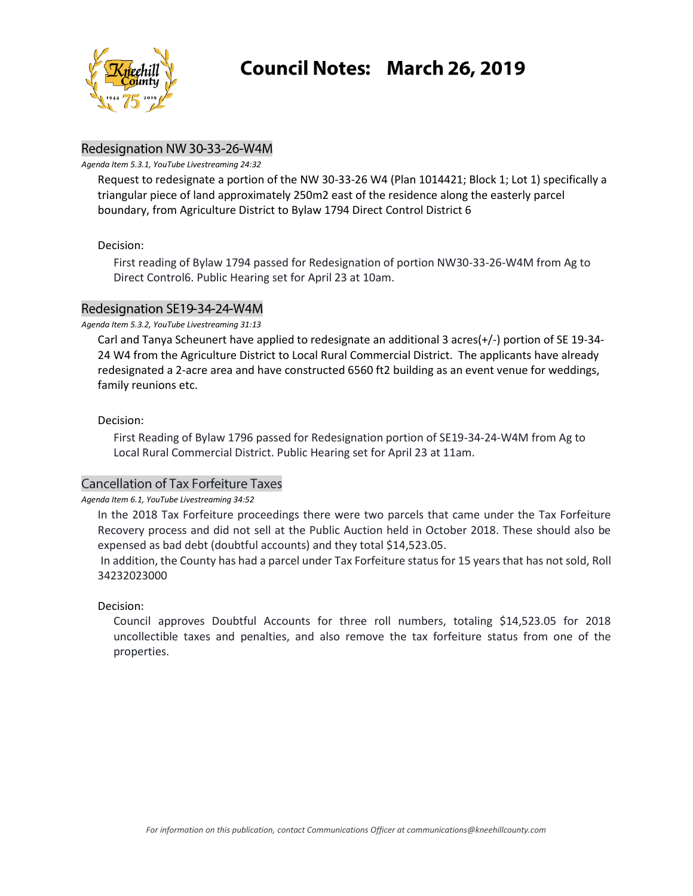

## Redesignation NW 30-33-26-W4M

*Agenda Item 5.3.1, YouTube Livestreaming 24:32*

Request to redesignate a portion of the NW 30-33-26 W4 (Plan 1014421; Block 1; Lot 1) specifically a triangular piece of land approximately 250m2 east of the residence along the easterly parcel boundary, from Agriculture District to Bylaw 1794 Direct Control District 6

## Decision:

First reading of Bylaw 1794 passed for Redesignation of portion NW30-33-26-W4M from Ag to Direct Control6. Public Hearing set for April 23 at 10am.

## Redesignation SE19-34-24-W4M

## *Agenda Item 5.3.2, YouTube Livestreaming 31:13*

Carl and Tanya Scheunert have applied to redesignate an additional 3 acres(+/-) portion of SE 19-34- 24 W4 from the Agriculture District to Local Rural Commercial District. The applicants have already redesignated a 2-acre area and have constructed 6560 ft2 building as an event venue for weddings, family reunions etc.

## Decision:

First Reading of Bylaw 1796 passed for Redesignation portion of SE19-34-24-W4M from Ag to Local Rural Commercial District. Public Hearing set for April 23 at 11am.

# **Cancellation of Tax Forfeiture Taxes**

*Agenda Item 6.1, YouTube Livestreaming 34:52*

In the 2018 Tax Forfeiture proceedings there were two parcels that came under the Tax Forfeiture Recovery process and did not sell at the Public Auction held in October 2018. These should also be expensed as bad debt (doubtful accounts) and they total \$14,523.05.

In addition, the County has had a parcel under Tax Forfeiture status for 15 years that has not sold, Roll 34232023000

## Decision:

Council approves Doubtful Accounts for three roll numbers, totaling \$14,523.05 for 2018 uncollectible taxes and penalties, and also remove the tax forfeiture status from one of the properties.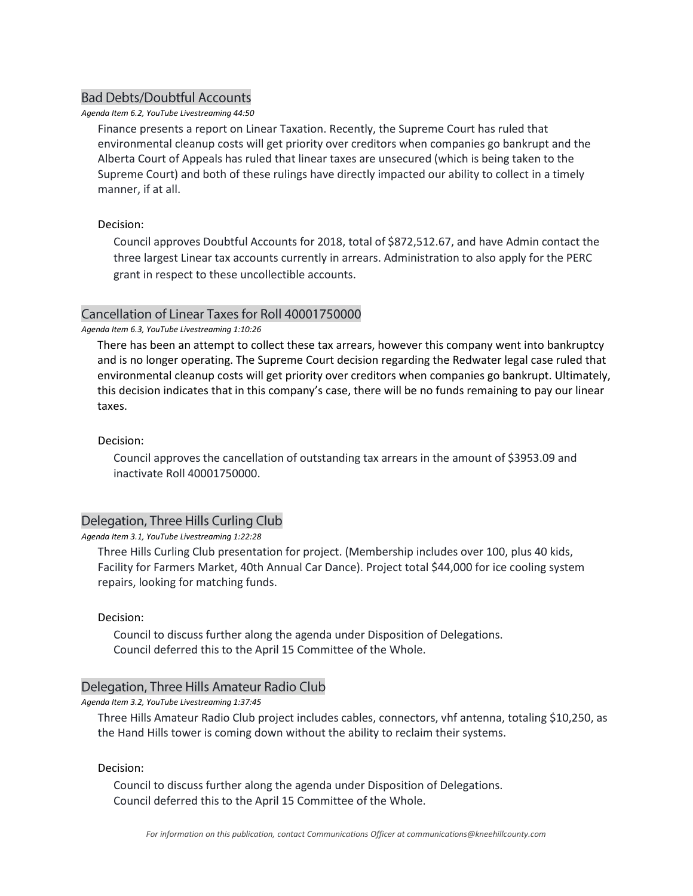# **Bad Debts/Doubtful Accounts**

### *Agenda Item 6.2, YouTube Livestreaming 44:50*

Finance presents a report on Linear Taxation. Recently, the Supreme Court has ruled that environmental cleanup costs will get priority over creditors when companies go bankrupt and the Alberta Court of Appeals has ruled that linear taxes are unsecured (which is being taken to the Supreme Court) and both of these rulings have directly impacted our ability to collect in a timely manner, if at all.

## Decision:

Council approves Doubtful Accounts for 2018, total of \$872,512.67, and have Admin contact the three largest Linear tax accounts currently in arrears. Administration to also apply for the PERC grant in respect to these uncollectible accounts.

## Cancellation of Linear Taxes for Roll 40001750000

#### *Agenda Item 6.3, YouTube Livestreaming 1:10:26*

There has been an attempt to collect these tax arrears, however this company went into bankruptcy and is no longer operating. The Supreme Court decision regarding the Redwater legal case ruled that environmental cleanup costs will get priority over creditors when companies go bankrupt. Ultimately, this decision indicates that in this company's case, there will be no funds remaining to pay our linear taxes.

### Decision:

Council approves the cancellation of outstanding tax arrears in the amount of \$3953.09 and inactivate Roll 40001750000.

## Delegation, Three Hills Curling Club

#### *Agenda Item 3.1, YouTube Livestreaming 1:22:28*

Three Hills Curling Club presentation for project. (Membership includes over 100, plus 40 kids, Facility for Farmers Market, 40th Annual Car Dance). Project total \$44,000 for ice cooling system repairs, looking for matching funds.

#### Decision:

Council to discuss further along the agenda under Disposition of Delegations. Council deferred this to the April 15 Committee of the Whole.

## Delegation, Three Hills Amateur Radio Club

*Agenda Item 3.2, YouTube Livestreaming 1:37:45*

Three Hills Amateur Radio Club project includes cables, connectors, vhf antenna, totaling \$10,250, as the Hand Hills tower is coming down without the ability to reclaim their systems.

### Decision:

Council to discuss further along the agenda under Disposition of Delegations. Council deferred this to the April 15 Committee of the Whole.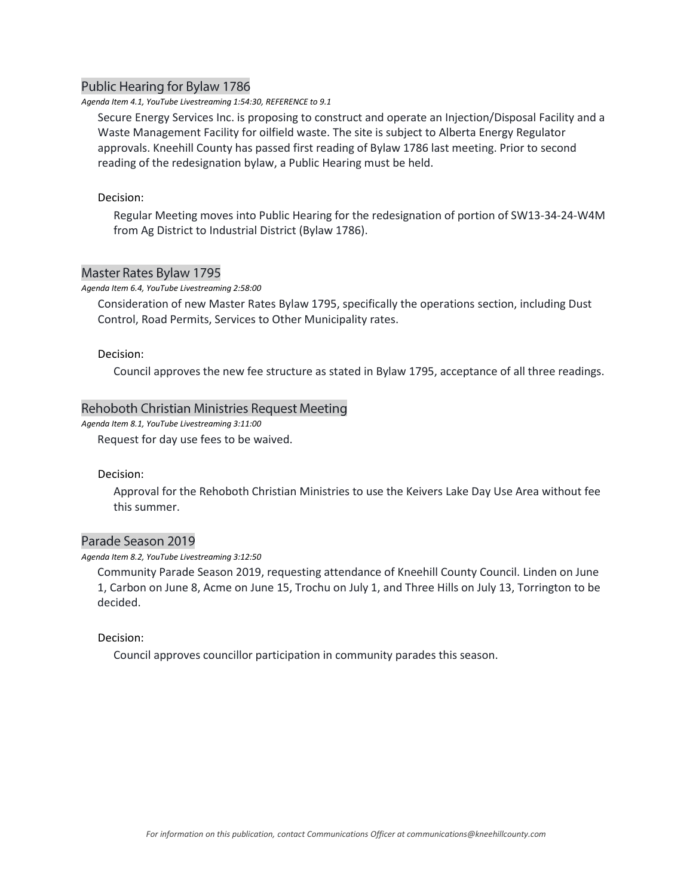## Public Hearing for Bylaw 1786

#### *Agenda Item 4.1, YouTube Livestreaming 1:54:30, REFERENCE to 9.1*

Secure Energy Services Inc. is proposing to construct and operate an Injection/Disposal Facility and a Waste Management Facility for oilfield waste. The site is subject to Alberta Energy Regulator approvals. Kneehill County has passed first reading of Bylaw 1786 last meeting. Prior to second reading of the redesignation bylaw, a Public Hearing must be held.

#### Decision:

Regular Meeting moves into Public Hearing for the redesignation of portion of SW13-34-24-W4M from Ag District to Industrial District (Bylaw 1786).

### **Master Rates Bylaw 1795**

#### *Agenda Item 6.4, YouTube Livestreaming 2:58:00*

Consideration of new Master Rates Bylaw 1795, specifically the operations section, including Dust Control, Road Permits, Services to Other Municipality rates.

#### Decision:

Council approves the new fee structure as stated in Bylaw 1795, acceptance of all three readings.

#### Rehoboth Christian Ministries Request Meeting

*Agenda Item 8.1, YouTube Livestreaming 3:11:00*

Request for day use fees to be waived.

#### Decision:

Approval for the Rehoboth Christian Ministries to use the Keivers Lake Day Use Area without fee this summer.

### Parade Season 2019

#### *Agenda Item 8.2, YouTube Livestreaming 3:12:50*

Community Parade Season 2019, requesting attendance of Kneehill County Council. Linden on June 1, Carbon on June 8, Acme on June 15, Trochu on July 1, and Three Hills on July 13, Torrington to be decided.

#### Decision:

Council approves councillor participation in community parades this season.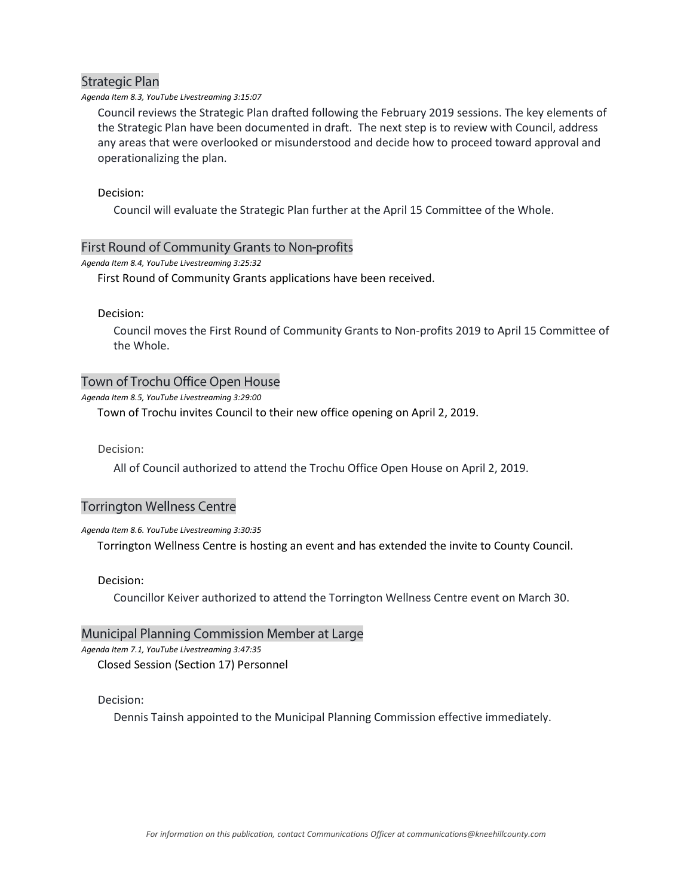## **Strategic Plan**

#### *Agenda Item 8.3, YouTube Livestreaming 3:15:07*

Council reviews the Strategic Plan drafted following the February 2019 sessions. The key elements of the Strategic Plan have been documented in draft. The next step is to review with Council, address any areas that were overlooked or misunderstood and decide how to proceed toward approval and operationalizing the plan.

### Decision:

Council will evaluate the Strategic Plan further at the April 15 Committee of the Whole.

## First Round of Community Grants to Non-profits

### *Agenda Item 8.4, YouTube Livestreaming 3:25:32*

First Round of Community Grants applications have been received.

Decision:

Council moves the First Round of Community Grants to Non-profits 2019 to April 15 Committee of the Whole.

## Town of Trochu Office Open House

*Agenda Item 8.5, YouTube Livestreaming 3:29:00*

Town of Trochu invites Council to their new office opening on April 2, 2019.

Decision:

All of Council authorized to attend the Trochu Office Open House on April 2, 2019.

# **Torrington Wellness Centre**

#### *Agenda Item 8.6. YouTube Livestreaming 3:30:35*

Torrington Wellness Centre is hosting an event and has extended the invite to County Council.

#### Decision:

Councillor Keiver authorized to attend the Torrington Wellness Centre event on March 30.

## Municipal Planning Commission Member at Large

*Agenda Item 7.1, YouTube Livestreaming 3:47:35*

Closed Session (Section 17) Personnel

## Decision:

Dennis Tainsh appointed to the Municipal Planning Commission effective immediately.